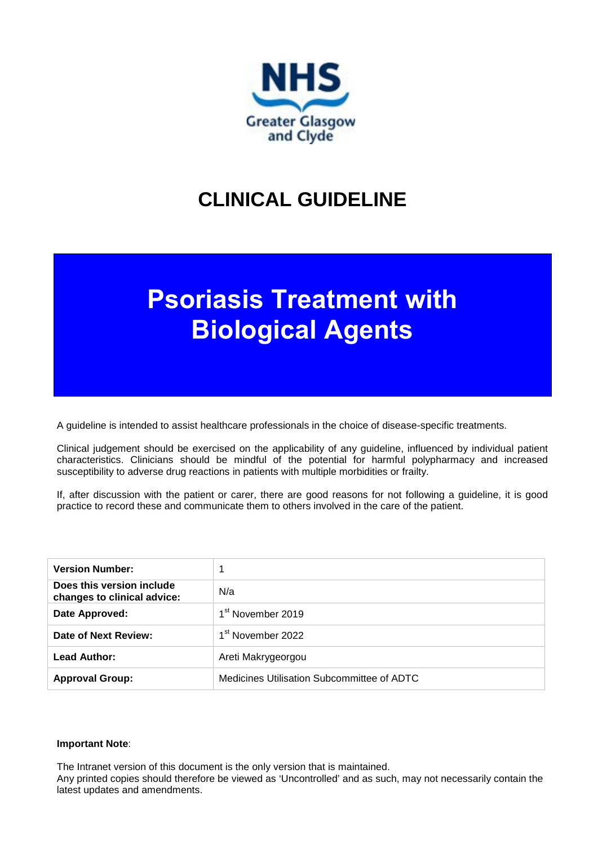

# **CLINICAL GUIDELINE**

# **Psoriasis Treatment with Biological Agents**

A guideline is intended to assist healthcare professionals in the choice of disease-specific treatments.

Clinical judgement should be exercised on the applicability of any guideline, influenced by individual patient characteristics. Clinicians should be mindful of the potential for harmful polypharmacy and increased susceptibility to adverse drug reactions in patients with multiple morbidities or frailty.

If, after discussion with the patient or carer, there are good reasons for not following a guideline, it is good practice to record these and communicate them to others involved in the care of the patient.

| <b>Version Number:</b>                                   |                                            |
|----------------------------------------------------------|--------------------------------------------|
| Does this version include<br>changes to clinical advice: | N/a                                        |
| Date Approved:                                           | 1 <sup>st</sup> November 2019              |
| Date of Next Review:                                     | 1 <sup>st</sup> November 2022              |
| <b>Lead Author:</b>                                      | Areti Makrygeorgou                         |
| <b>Approval Group:</b>                                   | Medicines Utilisation Subcommittee of ADTC |

#### **Important Note**:

The Intranet version of this document is the only version that is maintained.

Any printed copies should therefore be viewed as 'Uncontrolled' and as such, may not necessarily contain the latest updates and amendments.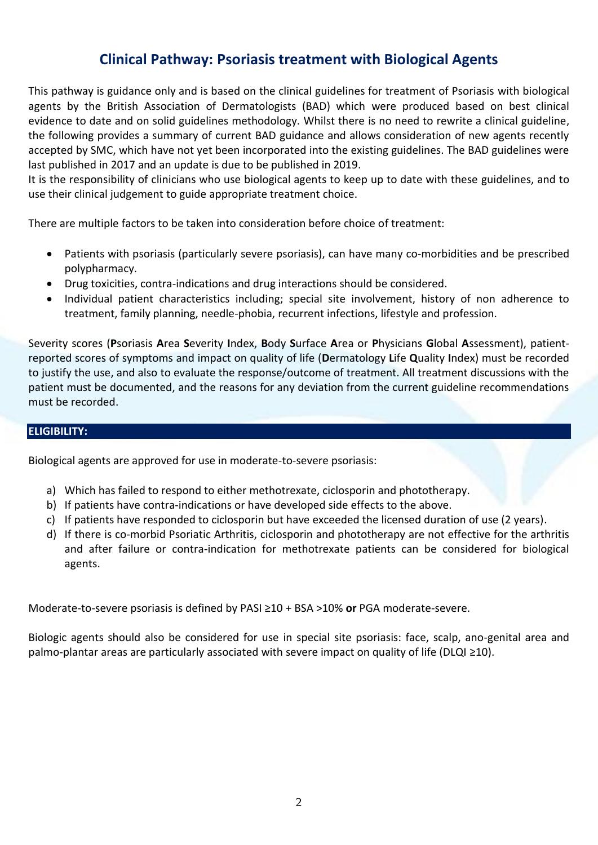# **Clinical Pathway: Psoriasis treatment with Biological Agents**

This pathway is guidance only and is based on the clinical guidelines for treatment of Psoriasis with biological agents by the British Association of Dermatologists (BAD) which were produced based on best clinical evidence to date and on solid guidelines methodology. Whilst there is no need to rewrite a clinical guideline, the following provides a summary of current BAD guidance and allows consideration of new agents recently accepted by SMC, which have not yet been incorporated into the existing guidelines. The BAD guidelines were last published in 2017 and an update is due to be published in 2019.

It is the responsibility of clinicians who use biological agents to keep up to date with these guidelines, and to use their clinical judgement to guide appropriate treatment choice.

There are multiple factors to be taken into consideration before choice of treatment:

- Patients with psoriasis (particularly severe psoriasis), can have many co-morbidities and be prescribed polypharmacy.
- Drug toxicities, contra-indications and drug interactions should be considered.
- Individual patient characteristics including; special site involvement, history of non adherence to treatment, family planning, needle-phobia, recurrent infections, lifestyle and profession.

Severity scores (**P**soriasis **A**rea **S**everity **I**ndex, **B**ody **S**urface **A**rea or **P**hysicians **G**lobal **A**ssessment), patientreported scores of symptoms and impact on quality of life (**D**ermatology **L**ife **Q**uality **I**ndex) must be recorded to justify the use, and also to evaluate the response/outcome of treatment. All treatment discussions with the patient must be documented, and the reasons for any deviation from the current guideline recommendations must be recorded.

# **ELIGIBILITY:**

Biological agents are approved for use in moderate-to-severe psoriasis:

- a) Which has failed to respond to either methotrexate, ciclosporin and phototherapy.
- b) If patients have contra-indications or have developed side effects to the above.
- c) If patients have responded to ciclosporin but have exceeded the licensed duration of use (2 years).
- d) If there is co-morbid Psoriatic Arthritis, ciclosporin and phototherapy are not effective for the arthritis and after failure or contra-indication for methotrexate patients can be considered for biological agents.

Moderate-to-severe psoriasis is defined by PASI ≥10 + BSA >10% **or** PGA moderate-severe.

Biologic agents should also be considered for use in special site psoriasis: face, scalp, ano-genital area and palmo-plantar areas are particularly associated with severe impact on quality of life (DLQI ≥10).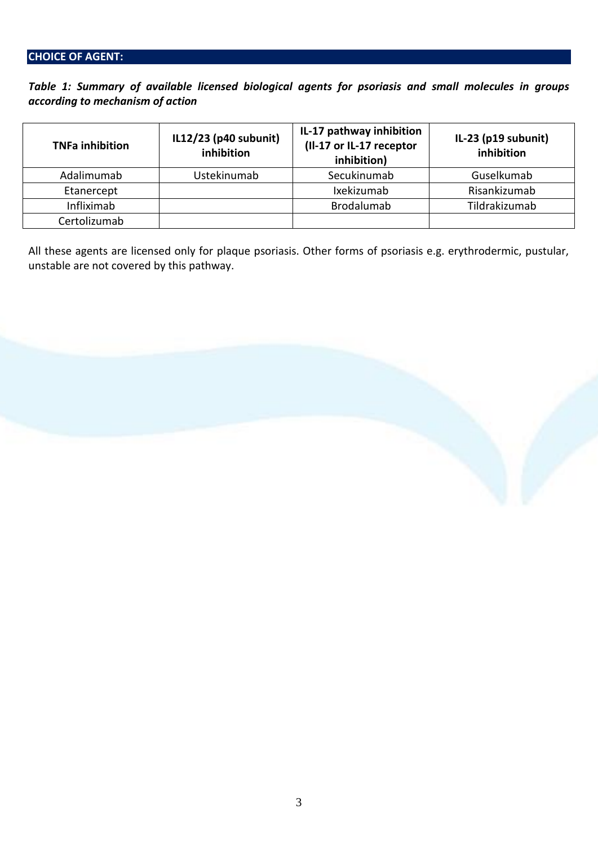# **CHOICE OF AGENT:**

*Table 1: Summary of available licensed biological agents for psoriasis and small molecules in groups according to mechanism of action*

| <b>TNFa inhibition</b> | IL12/23 (p40 subunit)<br>inhibition | IL-17 pathway inhibition<br>(II-17 or IL-17 receptor<br>inhibition) | IL-23 ( $p19$ subunit)<br>inhibition |
|------------------------|-------------------------------------|---------------------------------------------------------------------|--------------------------------------|
| Adalimumab             | Ustekinumab                         | Secukinumab                                                         | Guselkumab                           |
| Etanercept             |                                     | Ixekizumab                                                          | Risankizumab                         |
| Infliximab             |                                     | <b>Brodalumab</b>                                                   | Tildrakizumab                        |
| Certolizumab           |                                     |                                                                     |                                      |

All these agents are licensed only for plaque psoriasis. Other forms of psoriasis e.g. erythrodermic, pustular, unstable are not covered by this pathway.

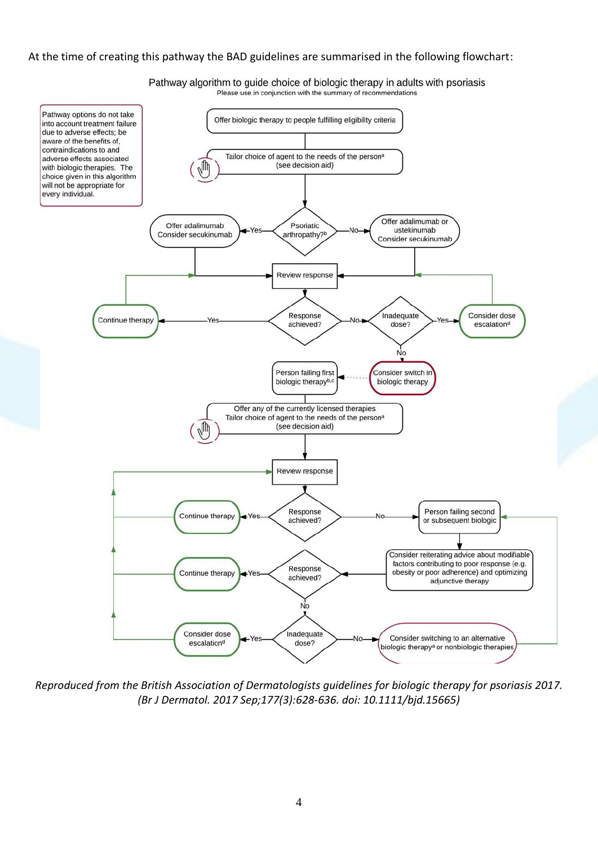#### At the time of creating this pathway the BAD guidelines are summarised in the following flowchart:

Pathway options do not take Offer biologic therapy to people fulfilling eligibility criteria into account treatment failure due to adverse effects; be aware of the benefits of, contraindications to and Tailor choice of agent to the needs of the person<sup>a</sup> adverse effects associated  $\sqrt{n}$ (see decision aid) with biologic therapies. The choice given in this algorithm will not be appropriate for every individual. Offer adalimumab or Offer adalimumab Psoriatic ustekinumah Consider secukinumab arthropathy?<sup>b</sup> Consider secukinumab Review response Response Inadequate Consider dose Continue therapy achieved? escalation<sup>d</sup> dose? No. Person failing first Consider switch in biologic therapy<sup>b,c</sup> biologic therapy Offer any of the currently licensed therapies Tailor choice of agent to the needs of the person<sup>a</sup> (see decision aid) ſſh Review response

Pathway algorithm to guide choice of biologic therapy in adults with psoriasis Please use in conjunction with the summary of recommendations

*Reproduced from the British Association of Dermatologists guidelines for biologic therapy for psoriasis 2017. (Br J Dermatol. 2017 Sep;177(3):628-636. doi: 10.1111/bjd.15665)*

Response

achieved?

Response

achieved?

No

Inadequate

dose?

Continue therapy

Continue therapy

Consider dose

escalation<sup>d</sup>

Yes

Vo

Person failing second

or subsequent biologic

Consider reiterating advice about modifiable factors contributing to poor response (e.g.

obesity or poor adherence) and optimizing

adjunctive therapy

Consider switching to an alternative

biologic therapy<sup>a</sup> or nonbiologic therapies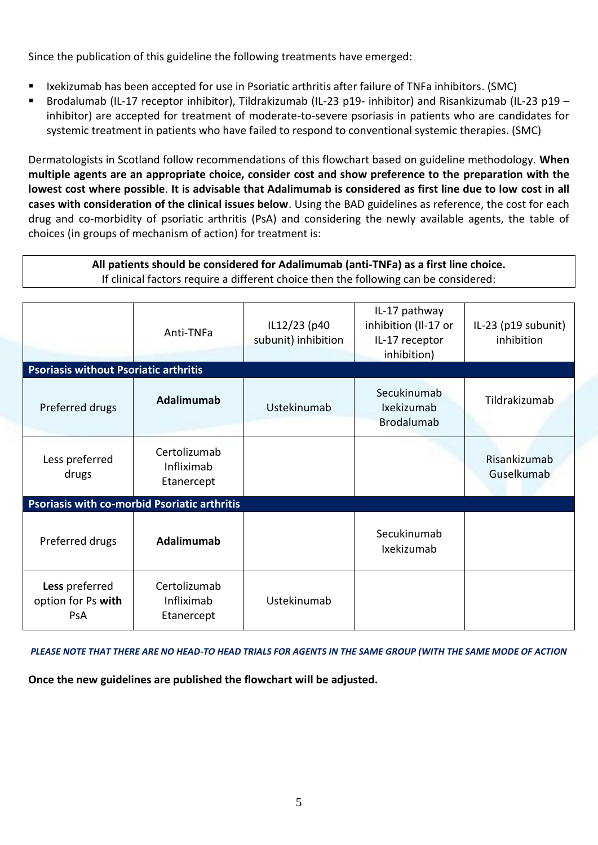Since the publication of this guideline the following treatments have emerged:

- Ixekizumab has been accepted for use in Psoriatic arthritis after failure of TNFa inhibitors. (SMC)
- Brodalumab (IL-17 receptor inhibitor), Tildrakizumab (IL-23 p19- inhibitor) and Risankizumab (IL-23 p19 inhibitor) are accepted for treatment of moderate-to-severe psoriasis in patients who are candidates for systemic treatment in patients who have failed to respond to conventional systemic therapies. (SMC)

Dermatologists in Scotland follow recommendations of this flowchart based on guideline methodology. **When multiple agents are an appropriate choice, consider cost and show preference to the preparation with the lowest cost where possible**. **It is advisable that Adalimumab is considered as first line due to low cost in all cases with consideration of the clinical issues below**. Using the BAD guidelines as reference, the cost for each drug and co-morbidity of psoriatic arthritis (PsA) and considering the newly available agents, the table of choices (in groups of mechanism of action) for treatment is:

# **All patients should be considered for Adalimumab (anti-TNFa) as a first line choice.** If clinical factors require a different choice then the following can be considered:

|                                                     | Anti-TNFa                                | IL12/23 (p40<br>subunit) inhibition | IL-17 pathway<br>inhibition (Il-17 or<br>IL-17 receptor<br>inhibition) | IL-23 (p19 subunit)<br>inhibition |  |  |  |
|-----------------------------------------------------|------------------------------------------|-------------------------------------|------------------------------------------------------------------------|-----------------------------------|--|--|--|
| <b>Psoriasis without Psoriatic arthritis</b>        |                                          |                                     |                                                                        |                                   |  |  |  |
| Preferred drugs                                     | Adalimumab                               | Ustekinumab                         | Secukinumab<br>Ixekizumab<br><b>Brodalumab</b>                         | Tildrakizumab                     |  |  |  |
| Less preferred<br>drugs                             | Certolizumab<br>Infliximab<br>Etanercept |                                     |                                                                        | Risankizumab<br>Guselkumab        |  |  |  |
| <b>Psoriasis with co-morbid Psoriatic arthritis</b> |                                          |                                     |                                                                        |                                   |  |  |  |
| Preferred drugs                                     | Adalimumab                               |                                     | Secukinumab<br>Ixekizumab                                              |                                   |  |  |  |
| Less preferred<br>option for Ps with<br><b>PsA</b>  | Certolizumab<br>Infliximab<br>Etanercept | Ustekinumab                         |                                                                        |                                   |  |  |  |

*PLEASE NOTE THAT THERE ARE NO HEAD-TO HEAD TRIALS FOR AGENTS IN THE SAME GROUP (WITH THE SAME MODE OF ACTION*

**Once the new guidelines are published the flowchart will be adjusted.**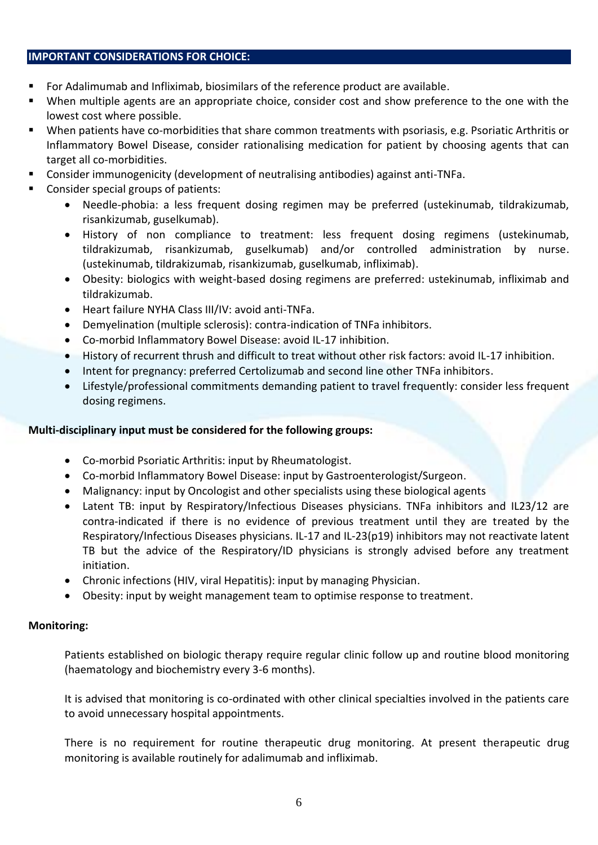### **IMPORTANT CONSIDERATIONS FOR CHOICE:**

- For Adalimumab and Infliximab, biosimilars of the reference product are available.
- When multiple agents are an appropriate choice, consider cost and show preference to the one with the lowest cost where possible.
- When patients have co-morbidities that share common treatments with psoriasis, e.g. Psoriatic Arthritis or Inflammatory Bowel Disease, consider rationalising medication for patient by choosing agents that can target all co-morbidities.
- Consider immunogenicity (development of neutralising antibodies) against anti-TNFa.
- Consider special groups of patients:
	- Needle-phobia: a less frequent dosing regimen may be preferred (ustekinumab, tildrakizumab, risankizumab, guselkumab).
	- History of non compliance to treatment: less frequent dosing regimens (ustekinumab, tildrakizumab, risankizumab, guselkumab) and/or controlled administration by nurse. (ustekinumab, tildrakizumab, risankizumab, guselkumab, infliximab).
	- Obesity: biologics with weight-based dosing regimens are preferred: ustekinumab, infliximab and tildrakizumab.
	- Heart failure NYHA Class III/IV: avoid anti-TNFa.
	- Demyelination (multiple sclerosis): contra-indication of TNFa inhibitors.
	- Co-morbid Inflammatory Bowel Disease: avoid IL-17 inhibition.
	- History of recurrent thrush and difficult to treat without other risk factors: avoid IL-17 inhibition.
	- Intent for pregnancy: preferred Certolizumab and second line other TNFa inhibitors.
	- Lifestyle/professional commitments demanding patient to travel frequently: consider less frequent dosing regimens.

# **Multi-disciplinary input must be considered for the following groups:**

- Co-morbid Psoriatic Arthritis: input by Rheumatologist.
- Co-morbid Inflammatory Bowel Disease: input by Gastroenterologist/Surgeon.
- Malignancy: input by Oncologist and other specialists using these biological agents
- Latent TB: input by Respiratory/Infectious Diseases physicians. TNFa inhibitors and IL23/12 are contra-indicated if there is no evidence of previous treatment until they are treated by the Respiratory/Infectious Diseases physicians. IL-17 and IL-23(p19) inhibitors may not reactivate latent TB but the advice of the Respiratory/ID physicians is strongly advised before any treatment initiation.
- Chronic infections (HIV, viral Hepatitis): input by managing Physician.
- Obesity: input by weight management team to optimise response to treatment.

# **Monitoring:**

Patients established on biologic therapy require regular clinic follow up and routine blood monitoring (haematology and biochemistry every 3-6 months).

It is advised that monitoring is co-ordinated with other clinical specialties involved in the patients care to avoid unnecessary hospital appointments.

There is no requirement for routine therapeutic drug monitoring. At present therapeutic drug monitoring is available routinely for adalimumab and infliximab.